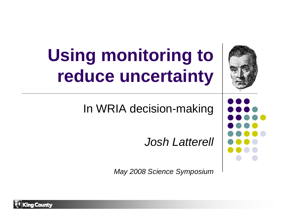

# **Using monitoring to reduce uncertainty**

In WRIA decision-making

*Josh Latterell*

*May 2008 Science Symposium*

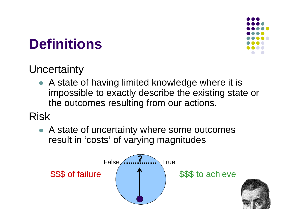#### **Definitions**



#### **Uncertainty**

• A state of having limited knowledge where it is impossible to exactly describe the existing state or the outcomes resulting from our actions.

#### Risk

• A state of uncertainty where some outcomes result in 'costs' of varying magnitudes

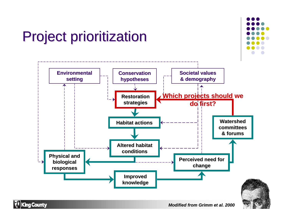

**King County** 

*Modified from Grimm et al. 2000*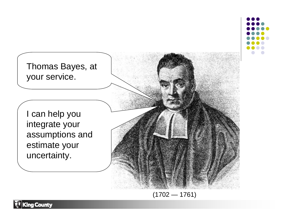



 $(1702 - 1761)$ 

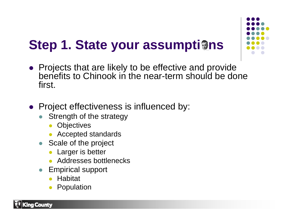#### **Step 1. State your assumptigns**

- Projects that are likely to be effective and provide benefits to Chinook in the near-term should be done first.
- Project effectiveness is influenced by:
	- $\bullet$  Strength of the strategy
		- **•** Objectives
		- Accepted standards
	- Scale of the project
		- Larger is better
		- Addresses bottlenecks
	- Empirical support
		- **Habitat**
		- O Population



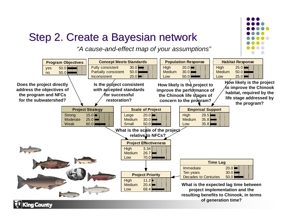#### Step 2. Create a Bayesian network

*"A cause-and-effect map of your assumptions"*

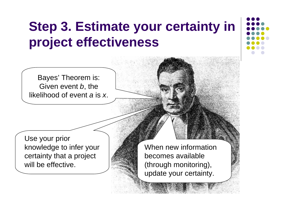#### **Step 3. Estimate your certainty in project effectiveness**

Bayes' Theorem is: Given event *b*, the likelihood of event *a* is *x*.

Use your prior knowledge to infer your certainty that a project will be effective.

When new information becomes available (through monitoring), update your certainty.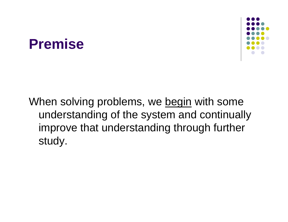# When solving problems, we begin with some study.

**Premise**

understanding of the system and continually improve that understanding through further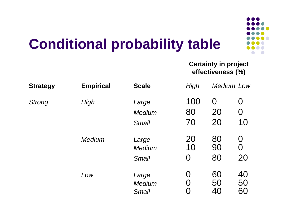

#### **Conditional probability table**

#### **Certainty in project effectiveness (%)**

| <b>Strategy</b><br><b>Strong</b> | <b>Empirical</b><br><b>High</b> | <b>Scale</b><br>Large<br>Medium<br><b>Small</b> | High<br>100<br>80<br>70         | <b>Medium Low</b>          |                     |
|----------------------------------|---------------------------------|-------------------------------------------------|---------------------------------|----------------------------|---------------------|
|                                  |                                 |                                                 |                                 | $\overline{0}$<br>20<br>20 | O<br>$\Omega$<br>10 |
|                                  | <b>Medium</b>                   | Large<br>Medium<br><b>Small</b>                 | 20<br>10<br>$\Omega$            | 80<br>90<br>80             | $\Omega$<br>O<br>20 |
|                                  | Low                             | Large<br>Medium<br><b>Small</b>                 | $\left( \ \right)$<br>$\bigcap$ | 60<br>50<br>40             | 40<br>50<br>60      |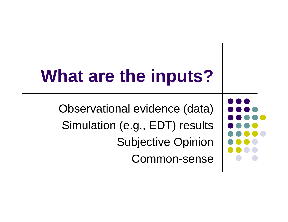## **What are the inputs?**

Observational evidence (data) Simulation (e.g., EDT) results Subjective Opinion Common-sense

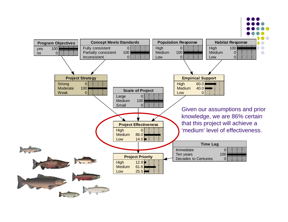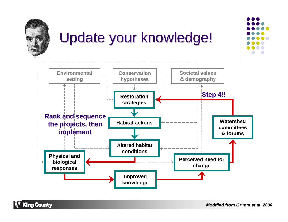

#### Update your knowledge!



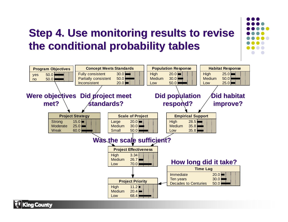### **Step 4. Use monitoring results to revise the conditional probability tables the conditional probability tables**



Cina Countv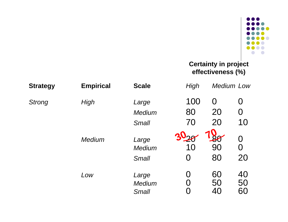

#### **Certainty in project effectiveness (%)**

| <b>Strategy</b> | <b>Empirical</b> | <b>Scale</b>                           | High      |                | <b>Medium Low</b>   |
|-----------------|------------------|----------------------------------------|-----------|----------------|---------------------|
| <b>Strong</b>   | <b>High</b>      | Large                                  | 100       | $\overline{0}$ | O                   |
|                 |                  | Medium                                 | 80        | 20             | 0                   |
|                 |                  | <b>Small</b>                           | 70        | 20             | 10                  |
|                 | <b>Medium</b>    | Large<br><b>Medium</b><br><b>Small</b> | 10<br>( ) | 90<br>80       | $\Omega$<br>O<br>20 |
|                 | Low              | Large<br>Medium<br><b>Small</b>        | ( )       | 60<br>50<br>40 | 40<br>50<br>60      |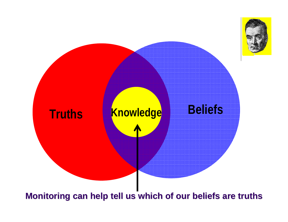

**Monitoring can help tell us which of our beliefs are truths Monitoring can help tell us which of our beliefs are truths**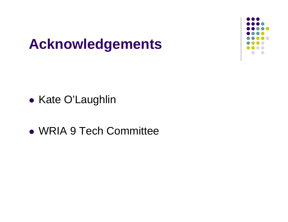#### **Acknowledgements**

 $\bullet$ • Kate O'Laughlin

• WRIA 9 Tech Committee